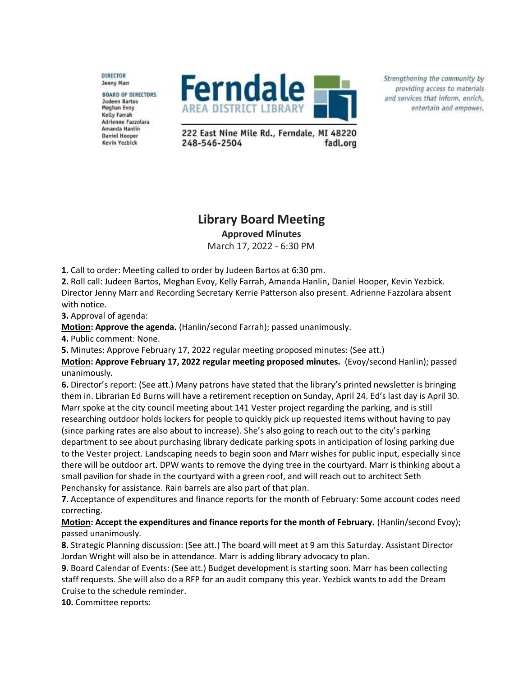DIRECTOR **Jenny Marr** 

**BOARD OF DIRECTORS** Judeen Bartos **Meghan Evoy Kelly Farrah** Adrienne Fazzolara Amanda Hanlin **Daniel Hooper** Kevin Yezbick



Strengthening the community by providing access to materials and services that inform, enrich, entertain and empower.

222 East Nine Mile Rd., Ferndale, MI 48220 248-546-2504 fadl.org

## **Library Board Meeting Approved Minutes**

March 17, 2022 - 6:30 PM

**1.** Call to order: Meeting called to order by Judeen Bartos at 6:30 pm.

**2.** Roll call: Judeen Bartos, Meghan Evoy, Kelly Farrah, Amanda Hanlin, Daniel Hooper, Kevin Yezbick. Director Jenny Marr and Recording Secretary Kerrie Patterson also present. Adrienne Fazzolara absent with notice.

**3.** Approval of agenda:

**Motion: Approve the agenda.** (Hanlin/second Farrah); passed unanimously.

**4.** Public comment: None.

**5.** Minutes: Approve February 17, 2022 regular meeting proposed minutes: (See att.)

**Motion: Approve February 17, 2022 regular meeting proposed minutes.** (Evoy/second Hanlin); passed unanimously.

**6.** Director's report: (See att.) Many patrons have stated that the library's printed newsletter is bringing them in. Librarian Ed Burns will have a retirement reception on Sunday, April 24. Ed's last day is April 30. Marr spoke at the city council meeting about 141 Vester project regarding the parking, and is still researching outdoor holds lockers for people to quickly pick up requested items without having to pay (since parking rates are also about to increase). She's also going to reach out to the city's parking department to see about purchasing library dedicate parking spots in anticipation of losing parking due to the Vester project. Landscaping needs to begin soon and Marr wishes for public input, especially since there will be outdoor art. DPW wants to remove the dying tree in the courtyard. Marr is thinking about a small pavilion for shade in the courtyard with a green roof, and will reach out to architect Seth Penchansky for assistance. Rain barrels are also part of that plan.

**7.** Acceptance of expenditures and finance reports for the month of February: Some account codes need correcting.

## **Motion: Accept the expenditures and finance reports for the month of February.** (Hanlin/second Evoy); passed unanimously.

**8.** Strategic Planning discussion: (See att.) The board will meet at 9 am this Saturday. Assistant Director Jordan Wright will also be in attendance. Marr is adding library advocacy to plan.

**9.** Board Calendar of Events: (See att.) Budget development is starting soon. Marr has been collecting staff requests. She will also do a RFP for an audit company this year. Yezbick wants to add the Dream Cruise to the schedule reminder.

**10.** Committee reports: